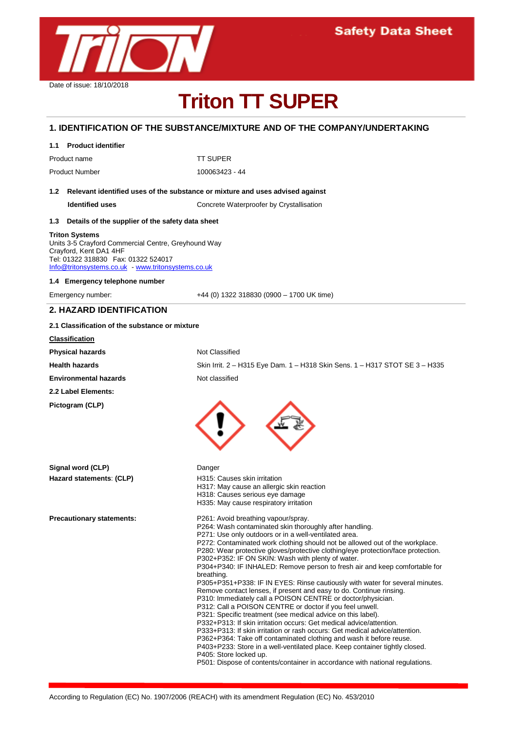

# **Triton TT SUPER**

## **1. IDENTIFICATION OF THE SUBSTANCE/MIXTURE AND OF THE COMPANY/UNDERTAKING**

|                                                                                   | 1.1 Product identifier                                                                                                                                                                        |                                                                                                                                                                                                                                                                                                                                                                                                                                                                                                                                                                                                                                                                                                                                                                                                                                                                                                                                                                                                                                                                                                                                                                      |
|-----------------------------------------------------------------------------------|-----------------------------------------------------------------------------------------------------------------------------------------------------------------------------------------------|----------------------------------------------------------------------------------------------------------------------------------------------------------------------------------------------------------------------------------------------------------------------------------------------------------------------------------------------------------------------------------------------------------------------------------------------------------------------------------------------------------------------------------------------------------------------------------------------------------------------------------------------------------------------------------------------------------------------------------------------------------------------------------------------------------------------------------------------------------------------------------------------------------------------------------------------------------------------------------------------------------------------------------------------------------------------------------------------------------------------------------------------------------------------|
|                                                                                   | Product name                                                                                                                                                                                  | <b>TT SUPER</b>                                                                                                                                                                                                                                                                                                                                                                                                                                                                                                                                                                                                                                                                                                                                                                                                                                                                                                                                                                                                                                                                                                                                                      |
|                                                                                   | <b>Product Number</b>                                                                                                                                                                         | 100063423 - 44                                                                                                                                                                                                                                                                                                                                                                                                                                                                                                                                                                                                                                                                                                                                                                                                                                                                                                                                                                                                                                                                                                                                                       |
| 1.2 Relevant identified uses of the substance or mixture and uses advised against |                                                                                                                                                                                               |                                                                                                                                                                                                                                                                                                                                                                                                                                                                                                                                                                                                                                                                                                                                                                                                                                                                                                                                                                                                                                                                                                                                                                      |
|                                                                                   | <b>Identified uses</b>                                                                                                                                                                        | Concrete Waterproofer by Crystallisation                                                                                                                                                                                                                                                                                                                                                                                                                                                                                                                                                                                                                                                                                                                                                                                                                                                                                                                                                                                                                                                                                                                             |
|                                                                                   | 1.3 Details of the supplier of the safety data sheet                                                                                                                                          |                                                                                                                                                                                                                                                                                                                                                                                                                                                                                                                                                                                                                                                                                                                                                                                                                                                                                                                                                                                                                                                                                                                                                                      |
|                                                                                   | Triton Systems<br>Units 3-5 Crayford Commercial Centre, Greyhound Way<br>Crayford, Kent DA1 4HF<br>Tel: 01322 318830  Fax: 01322 524017<br>Info@tritonsystems.co.uk - www.tritonsystems.co.uk |                                                                                                                                                                                                                                                                                                                                                                                                                                                                                                                                                                                                                                                                                                                                                                                                                                                                                                                                                                                                                                                                                                                                                                      |
|                                                                                   | 1.4 Emergency telephone number                                                                                                                                                                |                                                                                                                                                                                                                                                                                                                                                                                                                                                                                                                                                                                                                                                                                                                                                                                                                                                                                                                                                                                                                                                                                                                                                                      |
|                                                                                   | Emergency number:                                                                                                                                                                             | $+44$ (0) 1322 318830 (0900 - 1700 UK time)                                                                                                                                                                                                                                                                                                                                                                                                                                                                                                                                                                                                                                                                                                                                                                                                                                                                                                                                                                                                                                                                                                                          |
|                                                                                   | 2. HAZARD IDENTIFICATION                                                                                                                                                                      |                                                                                                                                                                                                                                                                                                                                                                                                                                                                                                                                                                                                                                                                                                                                                                                                                                                                                                                                                                                                                                                                                                                                                                      |
|                                                                                   | 2.1 Classification of the substance or mixture                                                                                                                                                |                                                                                                                                                                                                                                                                                                                                                                                                                                                                                                                                                                                                                                                                                                                                                                                                                                                                                                                                                                                                                                                                                                                                                                      |
|                                                                                   | <b>Classification</b>                                                                                                                                                                         |                                                                                                                                                                                                                                                                                                                                                                                                                                                                                                                                                                                                                                                                                                                                                                                                                                                                                                                                                                                                                                                                                                                                                                      |
|                                                                                   | <b>Physical hazards</b>                                                                                                                                                                       | Not Classified                                                                                                                                                                                                                                                                                                                                                                                                                                                                                                                                                                                                                                                                                                                                                                                                                                                                                                                                                                                                                                                                                                                                                       |
|                                                                                   | <b>Health hazards</b>                                                                                                                                                                         | Skin Irrit. 2 - H315 Eye Dam. 1 - H318 Skin Sens. 1 - H317 STOT SE 3 - H335                                                                                                                                                                                                                                                                                                                                                                                                                                                                                                                                                                                                                                                                                                                                                                                                                                                                                                                                                                                                                                                                                          |
|                                                                                   | <b>Environmental hazards</b>                                                                                                                                                                  | Not classified                                                                                                                                                                                                                                                                                                                                                                                                                                                                                                                                                                                                                                                                                                                                                                                                                                                                                                                                                                                                                                                                                                                                                       |
|                                                                                   | 2.2 Label Elements:                                                                                                                                                                           |                                                                                                                                                                                                                                                                                                                                                                                                                                                                                                                                                                                                                                                                                                                                                                                                                                                                                                                                                                                                                                                                                                                                                                      |
|                                                                                   | Pictogram (CLP)                                                                                                                                                                               |                                                                                                                                                                                                                                                                                                                                                                                                                                                                                                                                                                                                                                                                                                                                                                                                                                                                                                                                                                                                                                                                                                                                                                      |
|                                                                                   | Signal word (CLP)                                                                                                                                                                             | Danger                                                                                                                                                                                                                                                                                                                                                                                                                                                                                                                                                                                                                                                                                                                                                                                                                                                                                                                                                                                                                                                                                                                                                               |
|                                                                                   | Hazard statements: (CLP)                                                                                                                                                                      | H315: Causes skin irritation<br>H317: May cause an allergic skin reaction<br>H318: Causes serious eye damage<br>H335: May cause respiratory irritation                                                                                                                                                                                                                                                                                                                                                                                                                                                                                                                                                                                                                                                                                                                                                                                                                                                                                                                                                                                                               |
|                                                                                   | <b>Precautionary statements:</b>                                                                                                                                                              | P261: Avoid breathing vapour/spray.<br>P264: Wash contaminated skin thoroughly after handling.<br>P271: Use only outdoors or in a well-ventilated area.<br>P272: Contaminated work clothing should not be allowed out of the workplace.<br>P280: Wear protective gloves/protective clothing/eye protection/face protection.<br>P302+P352: IF ON SKIN: Wash with plenty of water.<br>P304+P340: IF INHALED: Remove person to fresh air and keep comfortable for<br>breathing.<br>P305+P351+P338: IF IN EYES: Rinse cautiously with water for several minutes.<br>Remove contact lenses, if present and easy to do. Continue rinsing.<br>P310: Immediately call a POISON CENTRE or doctor/physician.<br>P312: Call a POISON CENTRE or doctor if you feel unwell.<br>P321: Specific treatment (see medical advice on this label).<br>P332+P313: If skin irritation occurs: Get medical advice/attention.<br>P333+P313: If skin irritation or rash occurs: Get medical advice/attention.<br>P362+P364: Take off contaminated clothing and wash it before reuse.<br>P403+P233: Store in a well-ventilated place. Keep container tightly closed.<br>P405: Store locked up. |

P501: Dispose of contents/container in accordance with national regulations.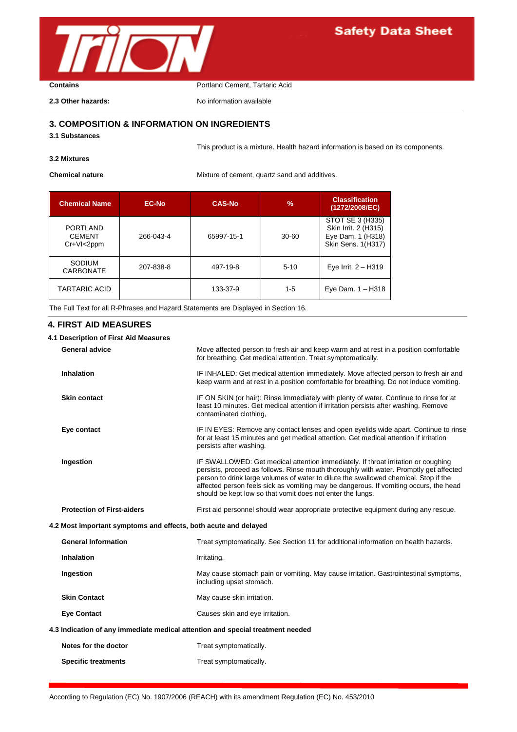

# **Safety Data Sheet**

**Contains Contains Portland Cement, Tartaric Acid** 

**2.3 Other hazards:** No information available

## **3. COMPOSITION & INFORMATION ON INGREDIENTS**

**3.1 Substances**

This product is a mixture. Health hazard information is based on its components.

## **3.2 Mixtures**

**Chemical nature** Mixture of cement, quartz sand and additives.

| <b>Chemical Name</b>                                | EC-No.    | <b>CAS-No</b> | $\frac{9}{6}$ | <b>Classification</b><br>(1272/2008/EC)                                             |
|-----------------------------------------------------|-----------|---------------|---------------|-------------------------------------------------------------------------------------|
| <b>PORTLAND</b><br><b>CEMENT</b><br>$Cr+VI < 2$ ppm | 266-043-4 | 65997-15-1    | $30 - 60$     | STOT SE 3 (H335)<br>Skin Irrit. 2 (H315)<br>Eye Dam. 1 (H318)<br>Skin Sens. 1(H317) |
| SODIUM<br><b>CARBONATE</b>                          | 207-838-8 | 497-19-8      | $5 - 10$      | Eye Irrit. $2 - H319$                                                               |
| <b>TARTARIC ACID</b>                                |           | 133-37-9      | $1-5$         | Eye Dam. $1 - H318$                                                                 |

The Full Text for all R-Phrases and Hazard Statements are Displayed in Section 16.

## **4. FIRST AID MEASURES**

| 4.1 Description of First Aid Measures                                          |                                                                 |                                                                                                                                                                                                                                                                                                                                                                                                                            |  |
|--------------------------------------------------------------------------------|-----------------------------------------------------------------|----------------------------------------------------------------------------------------------------------------------------------------------------------------------------------------------------------------------------------------------------------------------------------------------------------------------------------------------------------------------------------------------------------------------------|--|
|                                                                                | <b>General advice</b>                                           | Move affected person to fresh air and keep warm and at rest in a position comfortable<br>for breathing. Get medical attention. Treat symptomatically.                                                                                                                                                                                                                                                                      |  |
|                                                                                | Inhalation                                                      | IF INHALED: Get medical attention immediately. Move affected person to fresh air and<br>keep warm and at rest in a position comfortable for breathing. Do not induce vomiting.                                                                                                                                                                                                                                             |  |
|                                                                                | <b>Skin contact</b>                                             | IF ON SKIN (or hair): Rinse immediately with plenty of water. Continue to rinse for at<br>least 10 minutes. Get medical attention if irritation persists after washing. Remove<br>contaminated clothing.                                                                                                                                                                                                                   |  |
|                                                                                | Eye contact                                                     | IF IN EYES: Remove any contact lenses and open eyelids wide apart. Continue to rinse<br>for at least 15 minutes and get medical attention. Get medical attention if irritation<br>persists after washing.                                                                                                                                                                                                                  |  |
|                                                                                | Ingestion                                                       | IF SWALLOWED: Get medical attention immediately. If throat irritation or coughing<br>persists, proceed as follows. Rinse mouth thoroughly with water. Promptly get affected<br>person to drink large volumes of water to dilute the swallowed chemical. Stop if the<br>affected person feels sick as vomiting may be dangerous. If vomiting occurs, the head<br>should be kept low so that vomit does not enter the lungs. |  |
|                                                                                | <b>Protection of First-aiders</b>                               | First aid personnel should wear appropriate protective equipment during any rescue.                                                                                                                                                                                                                                                                                                                                        |  |
|                                                                                | 4.2 Most important symptoms and effects, both acute and delayed |                                                                                                                                                                                                                                                                                                                                                                                                                            |  |
|                                                                                | <b>General Information</b>                                      | Treat symptomatically. See Section 11 for additional information on health hazards.                                                                                                                                                                                                                                                                                                                                        |  |
|                                                                                | <b>Inhalation</b>                                               | Irritating.                                                                                                                                                                                                                                                                                                                                                                                                                |  |
|                                                                                | Ingestion                                                       | May cause stomach pain or vomiting. May cause irritation. Gastrointestinal symptoms,<br>including upset stomach.                                                                                                                                                                                                                                                                                                           |  |
|                                                                                | <b>Skin Contact</b>                                             | May cause skin irritation.                                                                                                                                                                                                                                                                                                                                                                                                 |  |
|                                                                                | <b>Eye Contact</b>                                              | Causes skin and eye irritation.                                                                                                                                                                                                                                                                                                                                                                                            |  |
| 4.3 Indication of any immediate medical attention and special treatment needed |                                                                 |                                                                                                                                                                                                                                                                                                                                                                                                                            |  |
|                                                                                | Notes for the doctor                                            | Treat symptomatically.                                                                                                                                                                                                                                                                                                                                                                                                     |  |
|                                                                                | <b>Specific treatments</b>                                      | Treat symptomatically.                                                                                                                                                                                                                                                                                                                                                                                                     |  |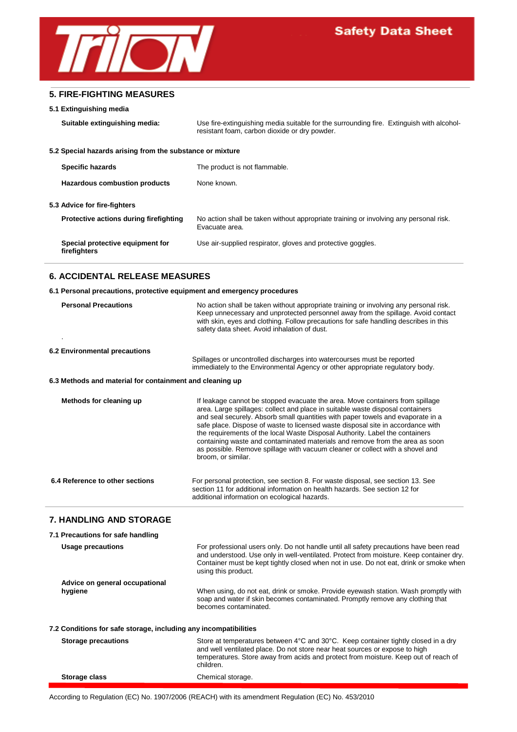

## **5. FIRE-FIGHTING MEASURES**

#### **5.1 Extinguishing media**

**Suitable extinguishing media:** Use fire-extinguishing media suitable for the surrounding fire. Extinguish with alcoholresistant foam, carbon dioxide or dry powder. **5.2 Special hazards arising from the substance or mixture Specific hazards** The product is not flammable. Hazardous combustion products None known. **5.3 Advice for fire-fighters Protective actions during firefighting** No action shall be taken without appropriate training or involving any personal risk. Evacuate area. **Special protective equipment for** Use air-supplied respirator, gloves and protective goggles. **firefighters**

## **6. ACCIDENTAL RELEASE MEASURES**

#### **6.1 Personal precautions, protective equipment and emergency procedures**

| <b>Personal Precautions</b>                              | No action shall be taken without appropriate training or involving any personal risk.<br>Keep unnecessary and unprotected personnel away from the spillage. Avoid contact<br>with skin, eyes and clothing. Follow precautions for safe handling describes in this<br>safety data sheet. Avoid inhalation of dust.                                                                                                                                                                                                                                                                                            |  |  |
|----------------------------------------------------------|--------------------------------------------------------------------------------------------------------------------------------------------------------------------------------------------------------------------------------------------------------------------------------------------------------------------------------------------------------------------------------------------------------------------------------------------------------------------------------------------------------------------------------------------------------------------------------------------------------------|--|--|
| 6.2 Environmental precautions                            |                                                                                                                                                                                                                                                                                                                                                                                                                                                                                                                                                                                                              |  |  |
|                                                          | Spillages or uncontrolled discharges into watercourses must be reported<br>immediately to the Environmental Agency or other appropriate regulatory body.                                                                                                                                                                                                                                                                                                                                                                                                                                                     |  |  |
| 6.3 Methods and material for containment and cleaning up |                                                                                                                                                                                                                                                                                                                                                                                                                                                                                                                                                                                                              |  |  |
| Methods for cleaning up                                  | If leakage cannot be stopped evacuate the area. Move containers from spillage<br>area. Large spillages: collect and place in suitable waste disposal containers<br>and seal securely. Absorb small quantities with paper towels and evaporate in a<br>safe place. Dispose of waste to licensed waste disposal site in accordance with<br>the requirements of the local Waste Disposal Authority. Label the containers<br>containing waste and contaminated materials and remove from the area as soon<br>as possible. Remove spillage with vacuum cleaner or collect with a shovel and<br>broom, or similar. |  |  |
| 6.4 Reference to other sections                          | For personal protection, see section 8. For waste disposal, see section 13. See<br>section 11 for additional information on health hazards. See section 12 for<br>additional information on ecological hazards.                                                                                                                                                                                                                                                                                                                                                                                              |  |  |

## **7. HANDLING AND STORAGE**

| 7.1 Precautions for safe handling                                |                                                                                                                                                                                                                                                                                                    |  |  |
|------------------------------------------------------------------|----------------------------------------------------------------------------------------------------------------------------------------------------------------------------------------------------------------------------------------------------------------------------------------------------|--|--|
| <b>Usage precautions</b>                                         | For professional users only. Do not handle until all safety precautions have been read<br>and understood. Use only in well-ventilated. Protect from moisture. Keep container dry.<br>Container must be kept tightly closed when not in use. Do not eat, drink or smoke when<br>using this product. |  |  |
| Advice on general occupational                                   |                                                                                                                                                                                                                                                                                                    |  |  |
| hygiene                                                          | When using, do not eat, drink or smoke. Provide eyewash station. Wash promptly with<br>soap and water if skin becomes contaminated. Promptly remove any clothing that<br>becomes contaminated.                                                                                                     |  |  |
| 7.2 Conditions for safe storage, including any incompatibilities |                                                                                                                                                                                                                                                                                                    |  |  |
| <b>Storage precautions</b>                                       | Store at temperatures between 4°C and 30°C. Keep container tightly closed in a dry<br>and well ventilated place. Do not store near heat sources or expose to high<br>temperatures. Store away from acids and protect from moisture. Keep out of reach of<br>children.                              |  |  |
| Storage class                                                    | Chemical storage.                                                                                                                                                                                                                                                                                  |  |  |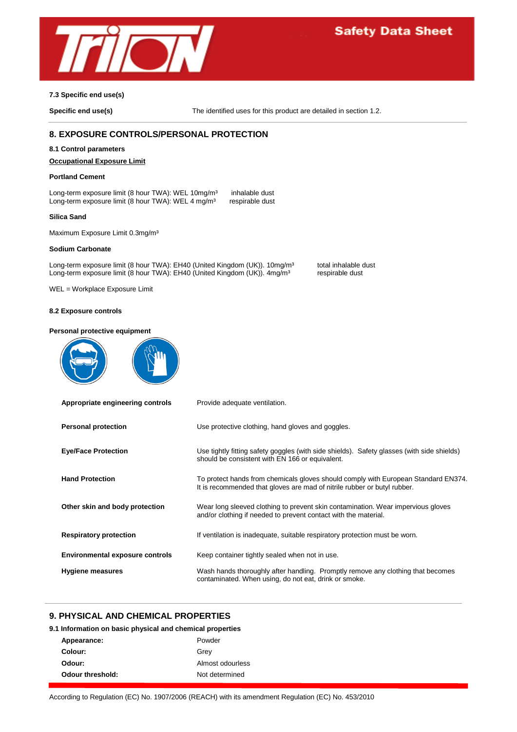

## **7.3 Specific end use(s)**

**Specific end use(s)** The identified uses for this product are detailed in section 1.2.

## **8. EXPOSURE CONTROLS/PERSONAL PROTECTION**

#### **8.1 Control parameters**

## **Occupational Exposure Limit**

#### **Portland Cement**

Long-term exposure limit (8 hour TWA): WEL 10mg/m<sup>3</sup> inhalable dust Long-term exposure limit (8 hour TWA): WEL 4 mg/m<sup>3</sup> respirable dust Long-term exposure limit (8 hour TWA): WEL 4 mg/m<sup>3</sup>

#### **Silica Sand**

Maximum Exposure Limit 0.3mg/m<sup>3</sup>

#### **Sodium Carbonate**

Long-term exposure limit (8 hour TWA): EH40 (United Kingdom (UK)). 10mg/m<sup>3</sup> total inhalable dust<br>Long-term exposure limit (8 hour TWA): EH40 (United Kingdom (UK)). 4mg/m<sup>3</sup> respirable dust Long-term exposure limit (8 hour TWA): EH40 (United Kingdom (UK)). 4mg/m<sup>3</sup>

WEL = Workplace Exposure Limit

#### **8.2 Exposure controls**

#### **Personal protective equipment**





| Appropriate engineering controls       | Provide adequate ventilation.                                                                                                                                  |
|----------------------------------------|----------------------------------------------------------------------------------------------------------------------------------------------------------------|
| <b>Personal protection</b>             | Use protective clothing, hand gloves and goggles.                                                                                                              |
| <b>Eye/Face Protection</b>             | Use tightly fitting safety goggles (with side shields). Safety glasses (with side shields)<br>should be consistent with EN 166 or equivalent.                  |
| <b>Hand Protection</b>                 | To protect hands from chemicals gloves should comply with European Standard EN374.<br>It is recommended that gloves are mad of nitrile rubber or butyl rubber. |
| Other skin and body protection         | Wear long sleeved clothing to prevent skin contamination. Wear impervious gloves<br>and/or clothing if needed to prevent contact with the material.            |
| <b>Respiratory protection</b>          | If ventilation is inadequate, suitable respiratory protection must be worn.                                                                                    |
| <b>Environmental exposure controls</b> | Keep container tightly sealed when not in use.                                                                                                                 |
| Hygiene measures                       | Wash hands thoroughly after handling. Promptly remove any clothing that becomes<br>contaminated. When using, do not eat, drink or smoke.                       |

## **9. PHYSICAL AND CHEMICAL PROPERTIES**

## **9.1 Information on basic physical and chemical properties**

| Appearance:      | Powder           |
|------------------|------------------|
| Colour:          | Grev             |
| Odour:           | Almost odourless |
| Odour threshold: | Not determined   |
|                  |                  |

According to Regulation (EC) No. 1907/2006 (REACH) with its amendment Regulation (EC) No. 453/2010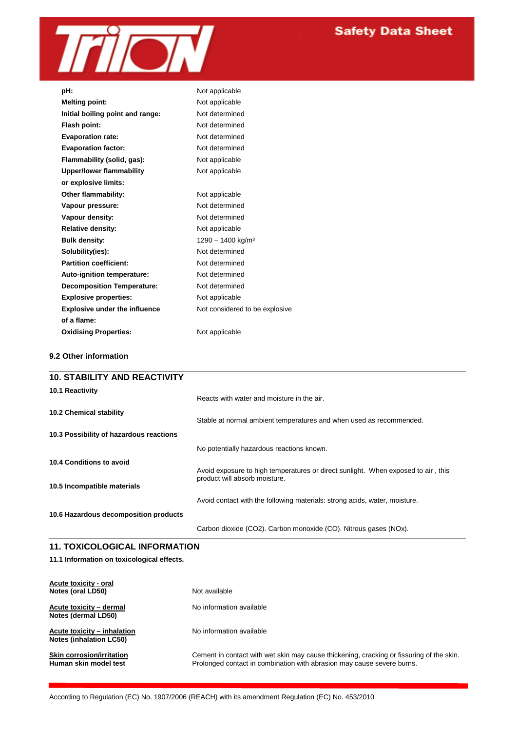

| pH:                                  | Not applicable                 |
|--------------------------------------|--------------------------------|
| <b>Melting point:</b>                | Not applicable                 |
| Initial boiling point and range:     | Not determined                 |
| Flash point:                         | Not determined                 |
| <b>Evaporation rate:</b>             | Not determined                 |
| <b>Evaporation factor:</b>           | Not determined                 |
| Flammability (solid, gas):           | Not applicable                 |
| Upper/lower flammability             | Not applicable                 |
| or explosive limits:                 |                                |
| Other flammability:                  | Not applicable                 |
| Vapour pressure:                     | Not determined                 |
| Vapour density:                      | Not determined                 |
| Relative density:                    | Not applicable                 |
| <b>Bulk density:</b>                 | 1290 - 1400 kg/m <sup>3</sup>  |
| Solubility(ies):                     | Not determined                 |
| <b>Partition coefficient:</b>        | Not determined                 |
| Auto-ignition temperature:           | Not determined                 |
| <b>Decomposition Temperature:</b>    | Not determined                 |
| <b>Explosive properties:</b>         | Not applicable                 |
| <b>Explosive under the influence</b> | Not considered to be explosive |
| of a flame:                          |                                |
| <b>Oxidising Properties:</b>         | Not applicable                 |

## **9.2 Other information**

| <b>10. STABILITY AND REACTIVITY</b>     |                                                                                                                    |
|-----------------------------------------|--------------------------------------------------------------------------------------------------------------------|
| 10.1 Reactivity                         | Reacts with water and moisture in the air.                                                                         |
| <b>10.2 Chemical stability</b>          | Stable at normal ambient temperatures and when used as recommended.                                                |
| 10.3 Possibility of hazardous reactions |                                                                                                                    |
|                                         | No potentially hazardous reactions known.                                                                          |
| 10.4 Conditions to avoid                | Avoid exposure to high temperatures or direct sunlight. When exposed to air, this<br>product will absorb moisture. |
| 10.5 Incompatible materials             |                                                                                                                    |
|                                         | Avoid contact with the following materials: strong acids, water, moisture.                                         |
| 10.6 Hazardous decomposition products   |                                                                                                                    |
|                                         | Carbon dioxide (CO2). Carbon monoxide (CO). Nitrous gases (NOx).                                                   |
|                                         |                                                                                                                    |

## **11. TOXICOLOGICAL INFORMATION**

## **11.1 Information on toxicological effects.**

| Acute toxicity - oral<br>Notes (oral LD50)                    | Not available                                                                                                                                                      |
|---------------------------------------------------------------|--------------------------------------------------------------------------------------------------------------------------------------------------------------------|
| Acute toxicity - dermal<br>Notes (dermal LD50)                | No information available                                                                                                                                           |
| Acute toxicity – inhalation<br><b>Notes (inhalation LC50)</b> | No information available                                                                                                                                           |
| <b>Skin corrosion/irritation</b><br>Human skin model test     | Cement in contact with wet skin may cause thickening, cracking or fissuring of the skin.<br>Prolonged contact in combination with abrasion may cause severe burns. |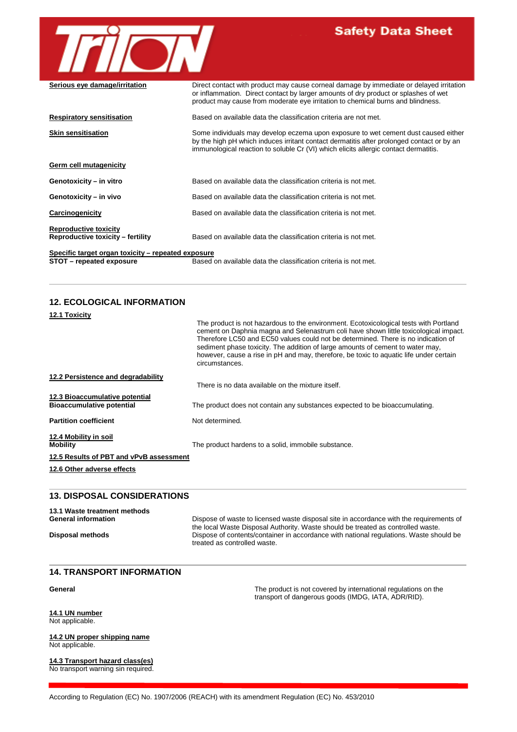

## **Safety Data Sheet**

| Serious eye damage/irritation                                     | Direct contact with product may cause corneal damage by immediate or delayed irritation<br>or inflammation. Direct contact by larger amounts of dry product or splashes of wet<br>product may cause from moderate eye irritation to chemical burns and blindness.       |  |
|-------------------------------------------------------------------|-------------------------------------------------------------------------------------------------------------------------------------------------------------------------------------------------------------------------------------------------------------------------|--|
| <b>Respiratory sensitisation</b>                                  | Based on available data the classification criteria are not met.                                                                                                                                                                                                        |  |
| <b>Skin sensitisation</b>                                         | Some individuals may develop eczema upon exposure to wet cement dust caused either<br>by the high pH which induces irritant contact dermatitis after prolonged contact or by an<br>immunological reaction to soluble Cr (VI) which elicits allergic contact dermatitis. |  |
| Germ cell mutagenicity                                            |                                                                                                                                                                                                                                                                         |  |
| Genotoxicity - in vitro                                           | Based on available data the classification criteria is not met.                                                                                                                                                                                                         |  |
| Genotoxicity - in vivo                                            | Based on available data the classification criteria is not met.                                                                                                                                                                                                         |  |
| Carcinogenicity                                                   | Based on available data the classification criteria is not met.                                                                                                                                                                                                         |  |
| <b>Reproductive toxicity</b><br>Reproductive toxicity – fertility | Based on available data the classification criteria is not met.                                                                                                                                                                                                         |  |
| Specific target organ toxicity – repeated exposure                |                                                                                                                                                                                                                                                                         |  |
| STOT - repeated exposure                                          | Based on available data the classification criteria is not met.                                                                                                                                                                                                         |  |

## **12. ECOLOGICAL INFORMATION**

| The product is not hazardous to the environment. Ecotoxicological tests with Portland<br>cement on Daphnia magna and Selenastrum coli have shown little toxicological impact.<br>Therefore LC50 and EC50 values could not be determined. There is no indication of<br>sediment phase toxicity. The addition of large amounts of cement to water may,<br>however, cause a rise in pH and may, therefore, be toxic to aquatic life under certain<br>circumstances. |
|------------------------------------------------------------------------------------------------------------------------------------------------------------------------------------------------------------------------------------------------------------------------------------------------------------------------------------------------------------------------------------------------------------------------------------------------------------------|
|                                                                                                                                                                                                                                                                                                                                                                                                                                                                  |
| There is no data available on the mixture itself.                                                                                                                                                                                                                                                                                                                                                                                                                |
| The product does not contain any substances expected to be bioaccumulating.                                                                                                                                                                                                                                                                                                                                                                                      |
| Not determined.                                                                                                                                                                                                                                                                                                                                                                                                                                                  |
| The product hardens to a solid, immobile substance.                                                                                                                                                                                                                                                                                                                                                                                                              |
|                                                                                                                                                                                                                                                                                                                                                                                                                                                                  |
|                                                                                                                                                                                                                                                                                                                                                                                                                                                                  |
|                                                                                                                                                                                                                                                                                                                                                                                                                                                                  |
|                                                                                                                                                                                                                                                                                                                                                                                                                                                                  |

**13.1 Waste treatment methods** Dispose of waste to licensed waste disposal site in accordance with the requirements of the local Waste Disposal Authority. Waste should be treated as controlled waste. **Disposal methods** Dispose of contents/container in accordance with national regulations. Waste should be treated as controlled waste.

#### **14. TRANSPORT INFORMATION**

#### **General** The product is not covered by international regulations on the

**14.1 UN number** Not applicable.

**14.2 UN proper shipping name** Not applicable.

**14.3 Transport hazard class(es)** No transport warning sin required.

transport of dangerous goods (IMDG, IATA, ADR/RID).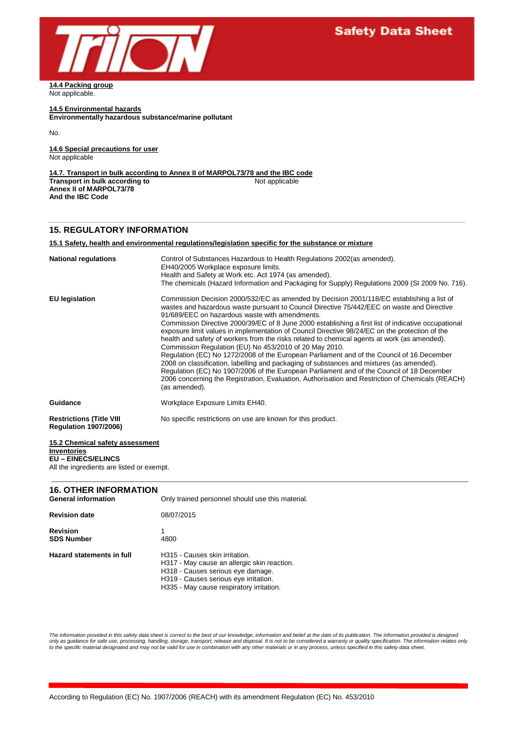

**14.4 Packing group** Not applicable.

**14.5 Environmental hazards Environmentally hazardous substance/marine pollutant**

No.

**14.6 Special precautions for user** Not applicable

**14.7. Transport in bulk according to Annex II of MARPOL73/78 and the IBC code Transport in bulk according to Annex II of MARPOL73/78 And the IBC Code**

## **15. REGULATORY INFORMATION**

#### **15.1 Safety, health and environmental regulations/legislation specific for the substance or mixture**

| <b>National regulations</b>                                     | Control of Substances Hazardous to Health Regulations 2002 (as amended).<br>EH40/2005 Workplace exposure limits.<br>Health and Safety at Work etc. Act 1974 (as amended).<br>The chemicals (Hazard Information and Packaging for Supply) Regulations 2009 (SI 2009 No. 716).                                                                                                                                                                                                                                                                                                                                                                                                                                                                                                                                                                                                                                                                                                                                            |
|-----------------------------------------------------------------|-------------------------------------------------------------------------------------------------------------------------------------------------------------------------------------------------------------------------------------------------------------------------------------------------------------------------------------------------------------------------------------------------------------------------------------------------------------------------------------------------------------------------------------------------------------------------------------------------------------------------------------------------------------------------------------------------------------------------------------------------------------------------------------------------------------------------------------------------------------------------------------------------------------------------------------------------------------------------------------------------------------------------|
| <b>EU</b> legislation                                           | Commission Decision 2000/532/EC as amended by Decision 2001/118/EC establishing a list of<br>wastes and hazardous waste pursuant to Council Directive 75/442/EEC on waste and Directive<br>91/689/EEC on hazardous waste with amendments.<br>Commission Directive 2000/39/EC of 8 June 2000 establishing a first list of indicative occupational<br>exposure limit values in implementation of Council Directive 98/24/EC on the protection of the<br>health and safety of workers from the risks related to chemical agents at work (as amended).<br>Commission Regulation (EU) No 453/2010 of 20 May 2010.<br>Regulation (EC) No 1272/2008 of the European Parliament and of the Council of 16 December<br>2008 on classification, labelling and packaging of substances and mixtures (as amended).<br>Regulation (EC) No 1907/2006 of the European Parliament and of the Council of 18 December<br>2006 concerning the Registration, Evaluation, Authorisation and Restriction of Chemicals (REACH)<br>(as amended). |
| Guidance                                                        | Workplace Exposure Limits EH40.                                                                                                                                                                                                                                                                                                                                                                                                                                                                                                                                                                                                                                                                                                                                                                                                                                                                                                                                                                                         |
| <b>Restrictions (Title VIII</b><br><b>Regulation 1907/2006)</b> | No specific restrictions on use are known for this product.                                                                                                                                                                                                                                                                                                                                                                                                                                                                                                                                                                                                                                                                                                                                                                                                                                                                                                                                                             |

#### **15.2 Chemical safety assessment Inventories**

### **EU – EINECS/ELINCS**

All the ingredients are listed or exempt.

## **16. OTHER INFORMATION**

| <b>General information</b>    | Only trained personnel should use this material.                                                                                                                                                        |
|-------------------------------|---------------------------------------------------------------------------------------------------------------------------------------------------------------------------------------------------------|
| <b>Revision date</b>          | 08/07/2015                                                                                                                                                                                              |
| Revision<br><b>SDS Number</b> | 4800                                                                                                                                                                                                    |
| Hazard statements in full     | H315 - Causes skin irritation.<br>H317 - May cause an allergic skin reaction.<br>H318 - Causes serious eye damage.<br>H319 - Causes serious eye irritation.<br>H335 - May cause respiratory irritation. |

*The information provided in this safety data sheet is correct to the best of our knowledge, information and belief at the date of its publication. The information provided is designed*  only as guidance for safe use, processing, handling, storage, transport, release and disposal. It is not to be considered a warranty or quality specification. The information relates only<br>to the specific material designate